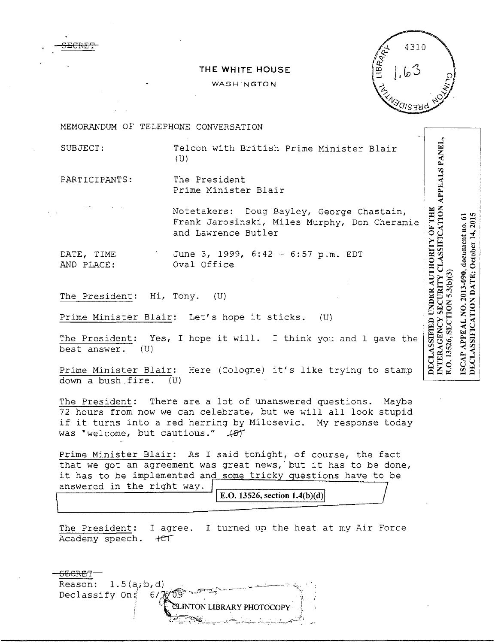

## **THE WHITE HOUSE**

## WASHINGTON



MEMORANDUM OF TELEPHONE CONVERSATION

SUBJECT: Telcon with British Prime Minister Blair  $(U)$ 

PARTICIPANTS: The President Prime Minister Blair

Notetakers: Doug Bayley, George Chastain, Frank Jarosinski, Miles Murphy, Don Cheramie and Lawrence Butler

DATE, TIME June 3, 1999, 6:42 - 6:57 p.m. EDT AND PLACE: Oval Office

The President: Hi, Tony. (U)

Prime Minister Blair: Let's hope it sticks. (U)

The President: Yes, I hope it will. I think you and I gave the best answer.  $(U)$  $best$  answer.

Prime Minister Blair: Here (Cologne) it's like trying to stamp down a bush fire. (U)

The President: There are a lot of unanswered questions. Maybe 72 hours from now we can celebrate, but we will all look stupid if it turns into a red herring by Milosevic. My response today was "welcome, but cautious."  $+81$ 

Prime Minister Blair: As I said tonight, of course, the fact that we got an agreement was great news, but it has to be done, it has to be implemented and some tricky questions have to be answered in the right way.  $\sqrt{\frac{E[0.13526, \text{section } 1.4(b)(d)]}{E[0.13526, \text{section } 1.4(b)(d)]}}$ 

The President: I agree. I turned up the heat at my Air Force Academy speech.  $+e^+$ 



DECLASSIFICATION DATE: October 14, 2015 ISCAP APPEAL NO. 2013-090, document no. 61 E.O. 13526, SECTION 5.3(b)(3)

INTERAGENCY SECURITY CLASSIFICATION APPEALS PANEL.

DECLASSIFIED UNDER AUTHORITY OF THE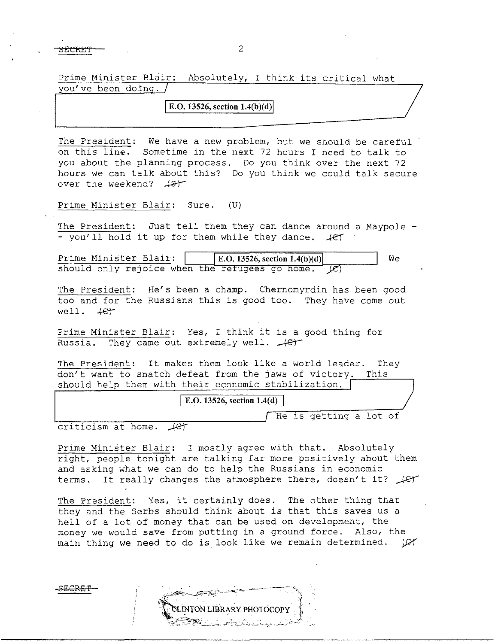$SECREF$  2

Prime Minister Blair: Absolutely, I think its critical what you've been doing.

**E.O.** 13526, section 1.4(b)(d)

The President: We have a new problem, but we should be careful<sup>-</sup> on this line. Sometime in the next 72 hours I need to talk to you about the planning process. Do you think over the next 72 hours we can talk about this? Do you think we could talk secure<br>over the weekend?  $48$ 

Prime Minister Blair: Sure. (U)

The President: Just tell them they can dance around a Maypole -- you'll hold it up for them while they dance.  $\sqrt{e\gamma}$ 

Prime Minister Blair:  $\vert$  B.O. 13526, section 1.4(b)(d)  $\vert$  We should only rejoice when the refugees go home.  $\mathcal{L}$ **E.O. 13526, section 1.4(b)(d)** 

The President: He's been a champ. Chernomyrdin has been good too and for the Russians this is good too. They have come out  $well.$   $+e^{+}$ 

Prime Minister Blair: Yes, I think it is a good thing for Russia. They came out extremely well.  $+e^+$ 

The President: It makes them look like a world leader. They don't want to snatch defeat from the jaws of victory. This should help them with their economic stabilization.

**E.O. 13526, section 1.4(d)** He is getting a lot of

criticism at home.  $\sqrt{c}$ 

Prime Minister Blair: I mostly agree with that. Absolutely right, people tonight are talking far more positively about them and asking what we can do to help the Russians in economic terms. It really changes the atmosphere there, doesn't it?  $\sqrt{\epsilon\tau}$ 

The President: Yes, it certainly does. The other thing that they and the Serbs should think about is that this saves us a hell of a lot of money that can be used on development, the money we would save from putting in a ground force. Also, the main thing we need to do is look like we remain determined. (CY

SECRET

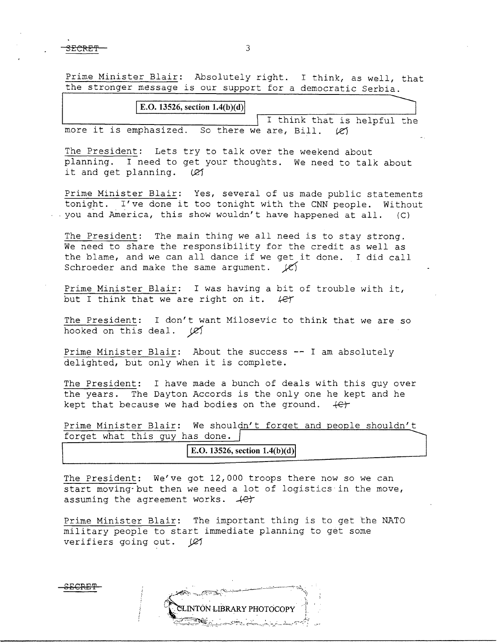$SECREF$  3

 ${\rm s}_{\rm ECREF}$ 

Prime Minister Blair: Absolutely right. I think, as well, that the stronger message is our support for a democratic Serbia.

| E.O. 13526, section $1.4(b)(d)$ |  |  |                                               |  |  |  |  |  |  |                             |  |
|---------------------------------|--|--|-----------------------------------------------|--|--|--|--|--|--|-----------------------------|--|
|                                 |  |  |                                               |  |  |  |  |  |  | I think that is helpful the |  |
|                                 |  |  | more it is emphasized. So there we are, Bill. |  |  |  |  |  |  |                             |  |

The President: Lets try to talk over the weekend about planning. I need to get your thoughts. We need to talk about it and get planning.  $\varnothing$ 

Prime Minister Blair: Yes, several of us made public statements tonight. I've done it too tonight with the CNN people. Without - you and America, this show wouldn't have happened at all. (C)

The President: The main thing we all need is to stay strong. We need to share the responsibility for the credit as well as the blame, and we can all dance if we get it done. I did call Schroeder and make the same argument.  $\cancel{\varepsilon}$ 

Prime Minister Blair: I was having a bit of trouble with it, but I think that we are right on it.  $\ell$ er

The President: I don't want Milosevic to think that we are so hooked on this deal.  $\cancel{C}$ 

Prime Minister Blair: About the success -- I am absolutely delighted, but only when it is complete.

The President: I have made a bunch of deals with this guy over the years. The Dayton Accords is the only one he kept and he kept that because we had bodies on the ground. *+er* 

Prime Minister Blair: We shouldn't forget and people shouldn't forget what this guy has done.

E.O. 13526, section  $1.4(b)(d)$ 

The President: We've got 12,000 troops there now so we can start moving· but then we need a lot of logistics in the move, assuming the agreement works.  $+e^+$ 

Prime Minister Blair: The important thing is to get the NATO military people to start immediate planning to get some verifiers going out. (27

**INTON LIBRARY PHOTOCOPY**